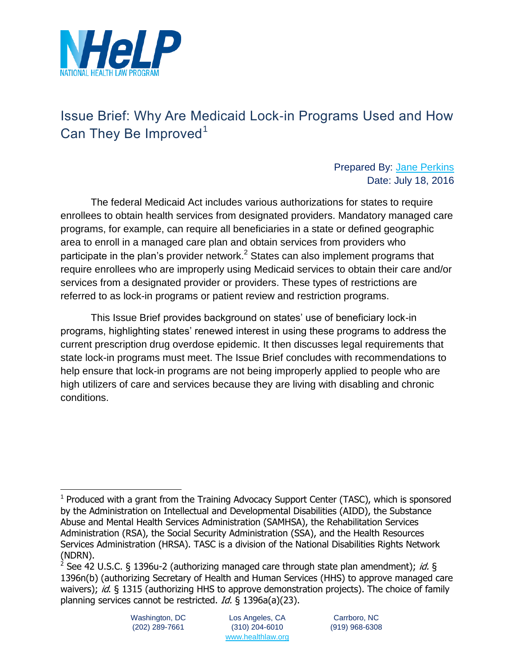

# Issue Brief: Why Are Medicaid Lock-in Programs Used and How Can They Be Improved<sup>1</sup>

#### Prepared By: [Jane Perkins](http://www.healthlaw.org/about/staff/jane-perkins) Date: July 18, 2016

The federal Medicaid Act includes various authorizations for states to require enrollees to obtain health services from designated providers. Mandatory managed care programs, for example, can require all beneficiaries in a state or defined geographic area to enroll in a managed care plan and obtain services from providers who participate in the plan's provider network.<sup>2</sup> States can also implement programs that require enrollees who are improperly using Medicaid services to obtain their care and/or services from a designated provider or providers. These types of restrictions are referred to as lock-in programs or patient review and restriction programs.

This Issue Brief provides background on states' use of beneficiary lock-in programs, highlighting states' renewed interest in using these programs to address the current prescription drug overdose epidemic. It then discusses legal requirements that state lock-in programs must meet. The Issue Brief concludes with recommendations to help ensure that lock-in programs are not being improperly applied to people who are high utilizers of care and services because they are living with disabling and chronic conditions.

<sup>&</sup>lt;sup>1</sup> Produced with a grant from the Training Advocacy Support Center (TASC), which is sponsored by the Administration on Intellectual and Developmental Disabilities (AIDD), the Substance Abuse and Mental Health Services Administration (SAMHSA), the Rehabilitation Services Administration (RSA), the Social Security Administration (SSA), and the Health Resources Services Administration (HRSA). TASC is a division of the National Disabilities Rights Network (NDRN).

<sup>&</sup>lt;sup>2</sup> See 42 U.S.C. § 1396u-2 (authorizing managed care through state plan amendment); *id.* § 1396n(b) (authorizing Secretary of Health and Human Services (HHS) to approve managed care waivers); id.  $\xi$  1315 (authorizing HHS to approve demonstration projects). The choice of family planning services cannot be restricted. Id. § 1396a(a)(23).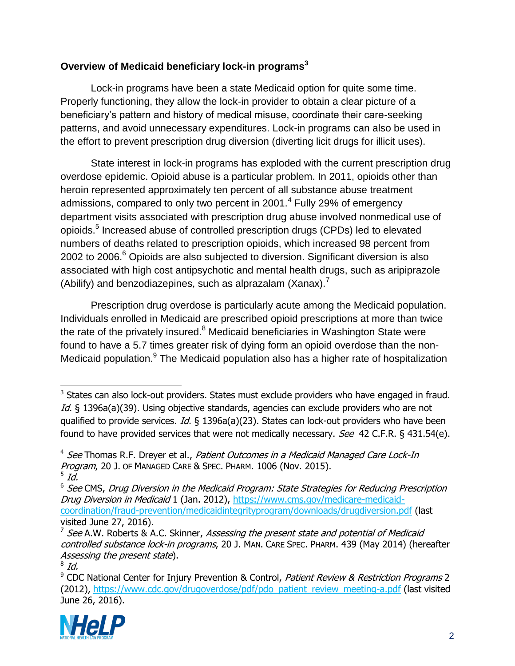# **Overview of Medicaid beneficiary lock-in programs<sup>3</sup>**

Lock-in programs have been a state Medicaid option for quite some time. Properly functioning, they allow the lock-in provider to obtain a clear picture of a beneficiary's pattern and history of medical misuse, coordinate their care-seeking patterns, and avoid unnecessary expenditures. Lock-in programs can also be used in the effort to prevent prescription drug diversion (diverting licit drugs for illicit uses).

State interest in lock-in programs has exploded with the current prescription drug overdose epidemic. Opioid abuse is a particular problem. In 2011, opioids other than heroin represented approximately ten percent of all substance abuse treatment admissions, compared to only two percent in 2001.<sup>4</sup> Fully 29% of emergency department visits associated with prescription drug abuse involved nonmedical use of opioids.<sup>5</sup> Increased abuse of controlled prescription drugs (CPDs) led to elevated numbers of deaths related to prescription opioids, which increased 98 percent from 2002 to 2006. $<sup>6</sup>$  Opioids are also subjected to diversion. Significant diversion is also</sup> associated with high cost antipsychotic and mental health drugs, such as aripiprazole (Abilify) and benzodiazepines, such as alprazalam (Xanax).<sup>7</sup>

Prescription drug overdose is particularly acute among the Medicaid population. Individuals enrolled in Medicaid are prescribed opioid prescriptions at more than twice the rate of the privately insured.<sup>8</sup> Medicaid beneficiaries in Washington State were found to have a 5.7 times greater risk of dying form an opioid overdose than the non-Medicaid population.<sup>9</sup> The Medicaid population also has a higher rate of hospitalization

<sup>&</sup>lt;sup>9</sup> CDC National Center for Injury Prevention & Control, Patient Review & Restriction Programs 2 (2012), [https://www.cdc.gov/drugoverdose/pdf/pdo\\_patient\\_review\\_meeting-a.pdf](https://www.cdc.gov/drugoverdose/pdf/pdo_patient_review_meeting-a.pdf) (last visited June 26, 2016).



  $3$  States can also lock-out providers. States must exclude providers who have engaged in fraud. Id. § 1396a(a)(39). Using objective standards, agencies can exclude providers who are not qualified to provide services. Id. § 1396a(a)(23). States can lock-out providers who have been found to have provided services that were not medically necessary. *See* 42 C.F.R. § 431.54(e).

<sup>&</sup>lt;sup>4</sup> See Thomas R.F. Dreyer et al., Patient Outcomes in a Medicaid Managed Care Lock-In Program, 20 J. OF MANAGED CARE & SPEC. PHARM. 1006 (Nov. 2015).  $^5$  Id.

 $^6$  See CMS, Drug Diversion in the Medicaid Program: State Strategies for Reducing Prescription Drug Diversion in Medicaid 1 (Jan. 2012), [https://www.cms.gov/medicare-medicaid](https://www.cms.gov/medicare-medicaid-coordination/fraud-prevention/medicaidintegrityprogram/downloads/drugdiversion.pdf)[coordination/fraud-prevention/medicaidintegrityprogram/downloads/drugdiversion.pdf](https://www.cms.gov/medicare-medicaid-coordination/fraud-prevention/medicaidintegrityprogram/downloads/drugdiversion.pdf) (last visited June 27, 2016).

<sup>&</sup>lt;sup>7</sup> See A.W. Roberts & A.C. Skinner, *Assessing the present state and potential of Medicaid* controlled substance lock-in programs, 20 J. MAN. CARE SPEC. PHARM. 439 (May 2014) (hereafter Assessing the present state).

 $^8$  Id.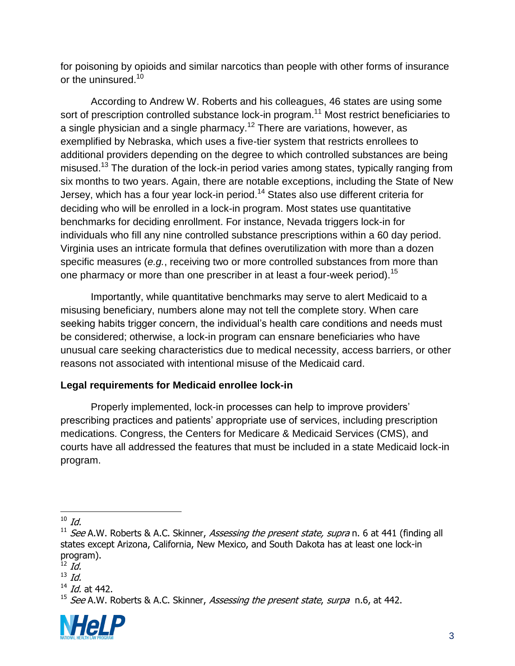for poisoning by opioids and similar narcotics than people with other forms of insurance or the uninsured.<sup>10</sup>

According to Andrew W. Roberts and his colleagues, 46 states are using some sort of prescription controlled substance lock-in program.<sup>11</sup> Most restrict beneficiaries to a single physician and a single pharmacy.<sup>12</sup> There are variations, however, as exemplified by Nebraska, which uses a five-tier system that restricts enrollees to additional providers depending on the degree to which controlled substances are being misused.<sup>13</sup> The duration of the lock-in period varies among states, typically ranging from six months to two years. Again, there are notable exceptions, including the State of New Jersey, which has a four year lock-in period.<sup>14</sup> States also use different criteria for deciding who will be enrolled in a lock-in program. Most states use quantitative benchmarks for deciding enrollment. For instance, Nevada triggers lock-in for individuals who fill any nine controlled substance prescriptions within a 60 day period. Virginia uses an intricate formula that defines overutilization with more than a dozen specific measures (*e.g.*, receiving two or more controlled substances from more than one pharmacy or more than one prescriber in at least a four-week period).<sup>15</sup>

Importantly, while quantitative benchmarks may serve to alert Medicaid to a misusing beneficiary, numbers alone may not tell the complete story. When care seeking habits trigger concern, the individual's health care conditions and needs must be considered; otherwise, a lock-in program can ensnare beneficiaries who have unusual care seeking characteristics due to medical necessity, access barriers, or other reasons not associated with intentional misuse of the Medicaid card.

### **Legal requirements for Medicaid enrollee lock-in**

Properly implemented, lock-in processes can help to improve providers' prescribing practices and patients' appropriate use of services, including prescription medications. Congress, the Centers for Medicare & Medicaid Services (CMS), and courts have all addressed the features that must be included in a state Medicaid lock-in program.

<sup>&</sup>lt;sup>15</sup> See A.W. Roberts & A.C. Skinner, Assessing the present state, surpa n.6, at 442.



  $^{10}$  Id.

<sup>&</sup>lt;sup>11</sup> See A.W. Roberts & A.C. Skinner, Assessing the present state, supra n. 6 at 441 (finding all states except Arizona, California, New Mexico, and South Dakota has at least one lock-in program).

 $\overline{12}$   $\overline{Id}$ .

 $^{13}$  Id.

 $^{14}$  *Id.* at 442.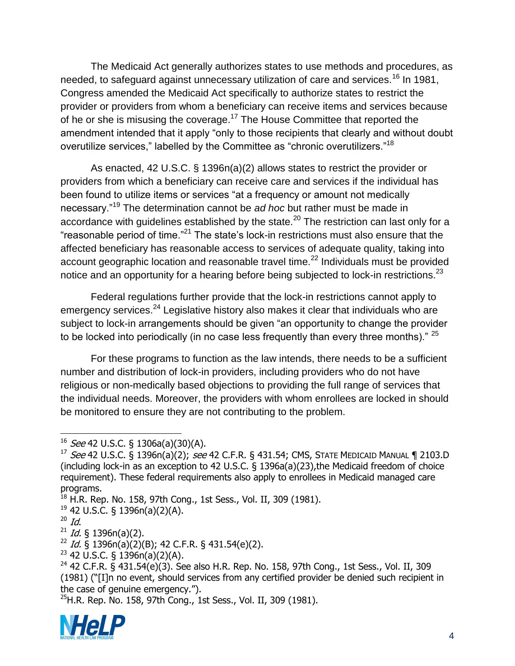The Medicaid Act generally authorizes states to use methods and procedures, as needed, to safeguard against unnecessary utilization of care and services.<sup>16</sup> In 1981, Congress amended the Medicaid Act specifically to authorize states to restrict the provider or providers from whom a beneficiary can receive items and services because of he or she is misusing the coverage.<sup>17</sup> The House Committee that reported the amendment intended that it apply "only to those recipients that clearly and without doubt overutilize services," labelled by the Committee as "chronic overutilizers."<sup>18</sup>

As enacted, 42 U.S.C. § 1396n(a)(2) allows states to restrict the provider or providers from which a beneficiary can receive care and services if the individual has been found to utilize items or services "at a frequency or amount not medically necessary."<sup>19</sup> The determination cannot be *ad hoc* but rather must be made in accordance with guidelines established by the state. $^{20}$  The restriction can last only for a "reasonable period of time."<sup>21</sup> The state's lock-in restrictions must also ensure that the affected beneficiary has reasonable access to services of adequate quality, taking into account geographic location and reasonable travel time.<sup>22</sup> Individuals must be provided notice and an opportunity for a hearing before being subjected to lock-in restrictions.<sup>23</sup>

Federal regulations further provide that the lock-in restrictions cannot apply to emergency services.<sup>24</sup> Legislative history also makes it clear that individuals who are subject to lock-in arrangements should be given "an opportunity to change the provider to be locked into periodically (in no case less frequently than every three months)."  $25$ 

For these programs to function as the law intends, there needs to be a sufficient number and distribution of lock-in providers, including providers who do not have religious or non-medically based objections to providing the full range of services that the individual needs. Moreover, the providers with whom enrollees are locked in should be monitored to ensure they are not contributing to the problem.

 $^{25}$ H.R. Rep. No. 158, 97th Cong., 1st Sess., Vol. II, 309 (1981).



 $16$  See 42 U.S.C. § 1306a(a)(30)(A).

 $17$  See 42 U.S.C. § 1396n(a)(2); see 42 C.F.R. § 431.54; CMS, STATE MEDICAID MANUAL ¶ 2103.D (including lock-in as an exception to 42 U.S.C. § 1396a(a)(23),the Medicaid freedom of choice requirement). These federal requirements also apply to enrollees in Medicaid managed care programs.

<sup>&</sup>lt;sup>18</sup> H.R. Rep. No. 158, 97th Cong., 1st Sess., Vol. II, 309 (1981).

<sup>19</sup> 42 U.S.C. § 1396n(a)(2)(A).

 $20$  Id.

 $21$  *Id.* § 1396n(a)(2).

 $^{22}$  *Id.* § 1396n(a)(2)(B); 42 C.F.R. § 431.54(e)(2).

 $23$  42 U.S.C. § 1396n(a)(2)(A).

 $24$  42 C.F.R. § 431.54(e)(3). See also H.R. Rep. No. 158, 97th Cong., 1st Sess., Vol. II, 309 (1981) ("[I]n no event, should services from any certified provider be denied such recipient in the case of genuine emergency.").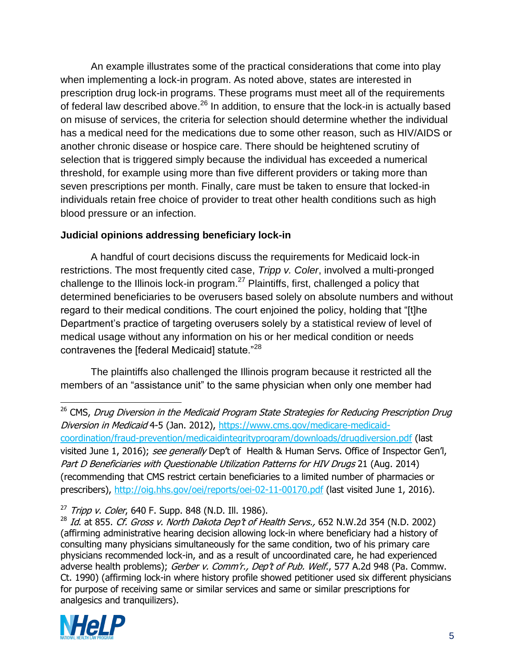An example illustrates some of the practical considerations that come into play when implementing a lock-in program. As noted above, states are interested in prescription drug lock-in programs. These programs must meet all of the requirements of federal law described above. $^{26}$  In addition, to ensure that the lock-in is actually based on misuse of services, the criteria for selection should determine whether the individual has a medical need for the medications due to some other reason, such as HIV/AIDS or another chronic disease or hospice care. There should be heightened scrutiny of selection that is triggered simply because the individual has exceeded a numerical threshold, for example using more than five different providers or taking more than seven prescriptions per month. Finally, care must be taken to ensure that locked-in individuals retain free choice of provider to treat other health conditions such as high blood pressure or an infection.

#### **Judicial opinions addressing beneficiary lock-in**

A handful of court decisions discuss the requirements for Medicaid lock-in restrictions. The most frequently cited case, *Tripp v. Coler*, involved a multi-pronged challenge to the Illinois lock-in program.<sup>27</sup> Plaintiffs, first, challenged a policy that determined beneficiaries to be overusers based solely on absolute numbers and without regard to their medical conditions. The court enjoined the policy, holding that "[t]he Department's practice of targeting overusers solely by a statistical review of level of medical usage without any information on his or her medical condition or needs contravenes the [federal Medicaid] statute."<sup>28</sup>

The plaintiffs also challenged the Illinois program because it restricted all the members of an "assistance unit" to the same physician when only one member had

 <sup>26</sup> CMS, Drug Diversion in the Medicaid Program State Strategies for Reducing Prescription Drug Diversion in Medicaid 4-5 (Jan. 2012), [https://www.cms.gov/medicare-medicaid](https://www.cms.gov/medicare-medicaid-coordination/fraud-prevention/medicaidintegrityprogram/downloads/drugdiversion.pdf)[coordination/fraud-prevention/medicaidintegrityprogram/downloads/drugdiversion.pdf](https://www.cms.gov/medicare-medicaid-coordination/fraud-prevention/medicaidintegrityprogram/downloads/drugdiversion.pdf) (last visited June 1, 2016); see generally Dep't of Health & Human Servs. Office of Inspector Gen'l, Part D Beneficiaries with Questionable Utilization Patterns for HIV Drugs 21 (Aug. 2014) (recommending that CMS restrict certain beneficiaries to a limited number of pharmacies or prescribers),<http://oig.hhs.gov/oei/reports/oei-02-11-00170.pdf> (last visited June 1, 2016).

 $27$  Tripp v. Coler, 640 F. Supp. 848 (N.D. Ill. 1986).

 $^{28}$  Id. at 855. Cf. Gross v. North Dakota Dep't of Health Servs., 652 N.W.2d 354 (N.D. 2002) (affirming administrative hearing decision allowing lock-in where beneficiary had a history of consulting many physicians simultaneously for the same condition, two of his primary care physicians recommended lock-in, and as a result of uncoordinated care, he had experienced adverse health problems); Gerber v. Comm'r., Dep't of Pub. Welf., 577 A.2d 948 (Pa. Commw. Ct. 1990) (affirming lock-in where history profile showed petitioner used six different physicians for purpose of receiving same or similar services and same or similar prescriptions for analgesics and tranquilizers).

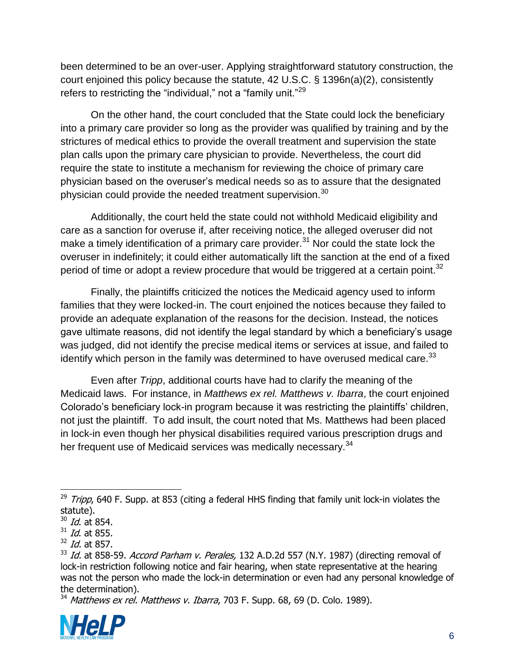been determined to be an over-user. Applying straightforward statutory construction, the court enjoined this policy because the statute, 42 U.S.C. § 1396n(a)(2), consistently refers to restricting the "individual," not a "family unit."<sup>29</sup>

On the other hand, the court concluded that the State could lock the beneficiary into a primary care provider so long as the provider was qualified by training and by the strictures of medical ethics to provide the overall treatment and supervision the state plan calls upon the primary care physician to provide. Nevertheless, the court did require the state to institute a mechanism for reviewing the choice of primary care physician based on the overuser's medical needs so as to assure that the designated physician could provide the needed treatment supervision. $30$ 

Additionally, the court held the state could not withhold Medicaid eligibility and care as a sanction for overuse if, after receiving notice, the alleged overuser did not make a timely identification of a primary care provider. $31$  Nor could the state lock the overuser in indefinitely; it could either automatically lift the sanction at the end of a fixed period of time or adopt a review procedure that would be triggered at a certain point.<sup>32</sup>

Finally, the plaintiffs criticized the notices the Medicaid agency used to inform families that they were locked-in. The court enjoined the notices because they failed to provide an adequate explanation of the reasons for the decision. Instead, the notices gave ultimate reasons, did not identify the legal standard by which a beneficiary's usage was judged, did not identify the precise medical items or services at issue, and failed to identify which person in the family was determined to have overused medical care.<sup>33</sup>

Even after *Tripp*, additional courts have had to clarify the meaning of the Medicaid laws. For instance, in *Matthews ex rel. Matthews v. Ibarra*, the court enjoined Colorado's beneficiary lock-in program because it was restricting the plaintiffs' children, not just the plaintiff. To add insult, the court noted that Ms. Matthews had been placed in lock-in even though her physical disabilities required various prescription drugs and her frequent use of Medicaid services was medically necessary.<sup>34</sup>

 $34$  Matthews ex rel. Matthews v. Ibarra, 703 F. Supp. 68, 69 (D. Colo. 1989).



  $^{29}$  Tripp, 640 F. Supp. at 853 (citing a federal HHS finding that family unit lock-in violates the statute).

 $30$  *Id.* at 854.

 $31$  *Id.* at 855.

 $32$  *Id.* at 857.

 $33$  Id. at 858-59. Accord Parham v. Perales, 132 A.D.2d 557 (N.Y. 1987) (directing removal of lock-in restriction following notice and fair hearing, when state representative at the hearing was not the person who made the lock-in determination or even had any personal knowledge of the determination).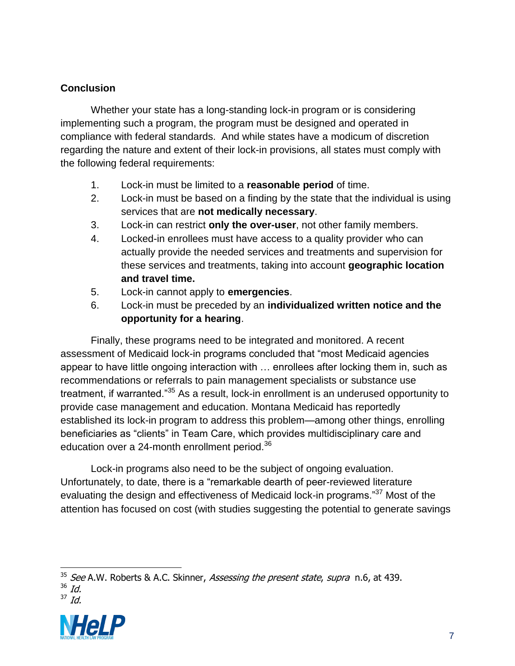## **Conclusion**

Whether your state has a long-standing lock-in program or is considering implementing such a program, the program must be designed and operated in compliance with federal standards. And while states have a modicum of discretion regarding the nature and extent of their lock-in provisions, all states must comply with the following federal requirements:

- 1. Lock-in must be limited to a **reasonable period** of time.
- 2. Lock-in must be based on a finding by the state that the individual is using services that are **not medically necessary**.
- 3. Lock-in can restrict **only the over-user**, not other family members.
- 4. Locked-in enrollees must have access to a quality provider who can actually provide the needed services and treatments and supervision for these services and treatments, taking into account **geographic location and travel time.**
- 5. Lock-in cannot apply to **emergencies**.
- 6. Lock-in must be preceded by an **individualized written notice and the opportunity for a hearing**.

Finally, these programs need to be integrated and monitored. A recent assessment of Medicaid lock-in programs concluded that "most Medicaid agencies appear to have little ongoing interaction with … enrollees after locking them in, such as recommendations or referrals to pain management specialists or substance use treatment, if warranted."<sup>35</sup> As a result, lock-in enrollment is an underused opportunity to provide case management and education. Montana Medicaid has reportedly established its lock-in program to address this problem—among other things, enrolling beneficiaries as "clients" in Team Care, which provides multidisciplinary care and education over a 24-month enrollment period.<sup>36</sup>

Lock-in programs also need to be the subject of ongoing evaluation. Unfortunately, to date, there is a "remarkable dearth of peer-reviewed literature evaluating the design and effectiveness of Medicaid lock-in programs."<sup>37</sup> Most of the attention has focused on cost (with studies suggesting the potential to generate savings



 $35$  See A.W. Roberts & A.C. Skinner, Assessing the present state, supra n.6, at 439.

<sup>36</sup> Id.  $37$  *Id.*